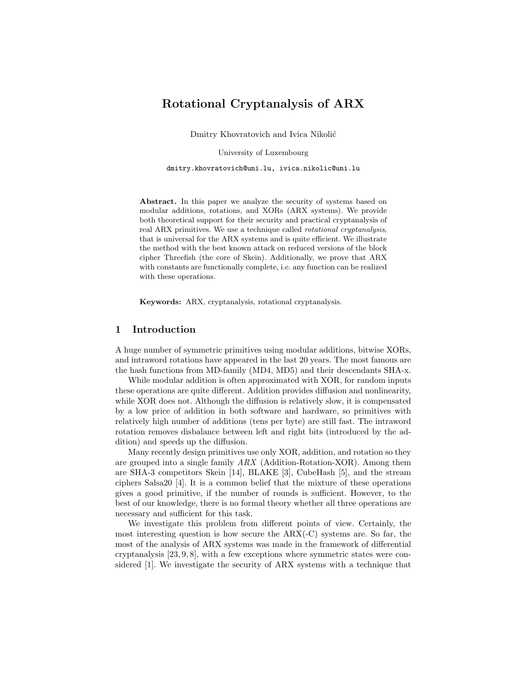# Rotational Cryptanalysis of ARX

Dmitry Khovratovich and Ivica Nikolić

University of Luxembourg

dmitry.khovratovich@uni.lu, ivica.nikolic@uni.lu

Abstract. In this paper we analyze the security of systems based on modular additions, rotations, and XORs (ARX systems). We provide both theoretical support for their security and practical cryptanalysis of real ARX primitives. We use a technique called rotational cryptanalysis, that is universal for the ARX systems and is quite efficient. We illustrate the method with the best known attack on reduced versions of the block cipher Threefish (the core of Skein). Additionally, we prove that ARX with constants are functionally complete, i.e. any function can be realized with these operations.

Keywords: ARX, cryptanalysis, rotational cryptanalysis.

### 1 Introduction

A huge number of symmetric primitives using modular additions, bitwise XORs, and intraword rotations have appeared in the last 20 years. The most famous are the hash functions from MD-family (MD4, MD5) and their descendants SHA-x.

While modular addition is often approximated with XOR, for random inputs these operations are quite different. Addition provides diffusion and nonlinearity, while XOR does not. Although the diffusion is relatively slow, it is compensated by a low price of addition in both software and hardware, so primitives with relatively high number of additions (tens per byte) are still fast. The intraword rotation removes disbalance between left and right bits (introduced by the addition) and speeds up the diffusion.

Many recently design primitives use only XOR, addition, and rotation so they are grouped into a single family  $ARX$  (Addition-Rotation-XOR). Among them are SHA-3 competitors Skein [14], BLAKE [3], CubeHash [5], and the stream ciphers Salsa20 [4]. It is a common belief that the mixture of these operations gives a good primitive, if the number of rounds is sufficient. However, to the best of our knowledge, there is no formal theory whether all three operations are necessary and sufficient for this task.

We investigate this problem from different points of view. Certainly, the most interesting question is how secure the ARX(-C) systems are. So far, the most of the analysis of ARX systems was made in the framework of differential cryptanalysis [23, 9, 8], with a few exceptions where symmetric states were considered [1]. We investigate the security of ARX systems with a technique that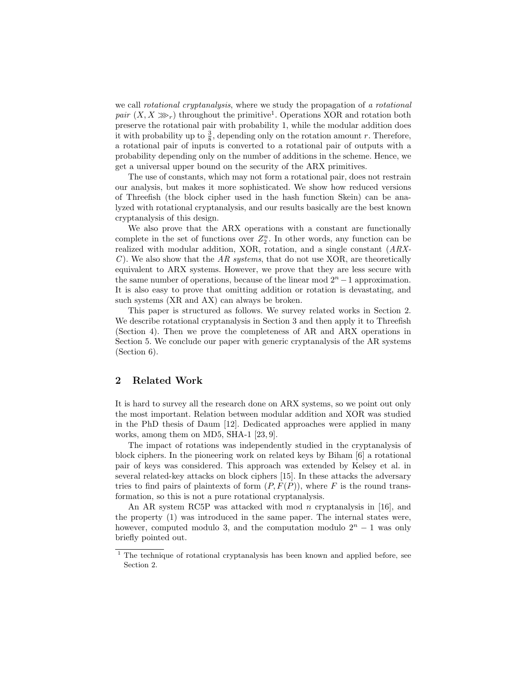we call *rotational cryptanalysis*, where we study the propagation of a *rotational* pair  $(X, X \gg r)$  throughout the primitive<sup>1</sup>. Operations XOR and rotation both preserve the rotational pair with probability 1, while the modular addition does it with probability up to  $\frac{3}{8}$ , depending only on the rotation amount r. Therefore, a rotational pair of inputs is converted to a rotational pair of outputs with a probability depending only on the number of additions in the scheme. Hence, we get a universal upper bound on the security of the ARX primitives.

The use of constants, which may not form a rotational pair, does not restrain our analysis, but makes it more sophisticated. We show how reduced versions of Threefish (the block cipher used in the hash function Skein) can be analyzed with rotational cryptanalysis, and our results basically are the best known cryptanalysis of this design.

We also prove that the ARX operations with a constant are functionally complete in the set of functions over  $Z_2^n$ . In other words, any function can be realized with modular addition, XOR, rotation, and a single constant (ARX-C). We also show that the  $AR$  systems, that do not use XOR, are theoretically equivalent to ARX systems. However, we prove that they are less secure with the same number of operations, because of the linear mod  $2<sup>n</sup> - 1$  approximation. It is also easy to prove that omitting addition or rotation is devastating, and such systems (XR and AX) can always be broken.

This paper is structured as follows. We survey related works in Section 2. We describe rotational cryptanalysis in Section 3 and then apply it to Threefish (Section 4). Then we prove the completeness of AR and ARX operations in Section 5. We conclude our paper with generic cryptanalysis of the AR systems (Section 6).

### 2 Related Work

It is hard to survey all the research done on ARX systems, so we point out only the most important. Relation between modular addition and XOR was studied in the PhD thesis of Daum [12]. Dedicated approaches were applied in many works, among them on MD5, SHA-1 [23, 9].

The impact of rotations was independently studied in the cryptanalysis of block ciphers. In the pioneering work on related keys by Biham [6] a rotational pair of keys was considered. This approach was extended by Kelsey et al. in several related-key attacks on block ciphers [15]. In these attacks the adversary tries to find pairs of plaintexts of form  $(P, F(P))$ , where F is the round transformation, so this is not a pure rotational cryptanalysis.

An AR system RC5P was attacked with mod *n* cryptanalysis in [16], and the property (1) was introduced in the same paper. The internal states were, however, computed modulo 3, and the computation modulo  $2<sup>n</sup> - 1$  was only briefly pointed out.

 $1$  The technique of rotational cryptanalysis has been known and applied before, see Section 2.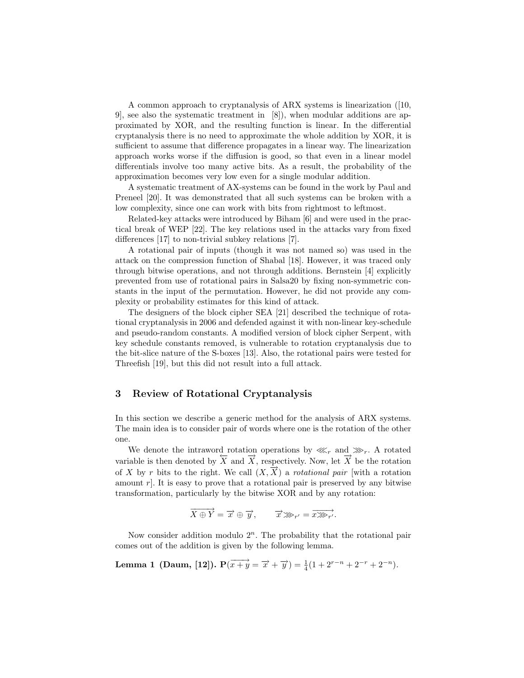A common approach to cryptanalysis of ARX systems is linearization ([10, 9], see also the systematic treatment in [8]), when modular additions are approximated by XOR, and the resulting function is linear. In the differential cryptanalysis there is no need to approximate the whole addition by XOR, it is sufficient to assume that difference propagates in a linear way. The linearization approach works worse if the diffusion is good, so that even in a linear model differentials involve too many active bits. As a result, the probability of the approximation becomes very low even for a single modular addition.

A systematic treatment of AX-systems can be found in the work by Paul and Preneel [20]. It was demonstrated that all such systems can be broken with a low complexity, since one can work with bits from rightmost to leftmost.

Related-key attacks were introduced by Biham [6] and were used in the practical break of WEP [22]. The key relations used in the attacks vary from fixed differences [17] to non-trivial subkey relations [7].

A rotational pair of inputs (though it was not named so) was used in the attack on the compression function of Shabal [18]. However, it was traced only through bitwise operations, and not through additions. Bernstein [4] explicitly prevented from use of rotational pairs in Salsa20 by fixing non-symmetric constants in the input of the permutation. However, he did not provide any complexity or probability estimates for this kind of attack.

The designers of the block cipher SEA [21] described the technique of rotational cryptanalysis in 2006 and defended against it with non-linear key-schedule and pseudo-random constants. A modified version of block cipher Serpent, with key schedule constants removed, is vulnerable to rotation cryptanalysis due to the bit-slice nature of the S-boxes [13]. Also, the rotational pairs were tested for Threefish [19], but this did not result into a full attack.

### 3 Review of Rotational Cryptanalysis

In this section we describe a generic method for the analysis of ARX systems. The main idea is to consider pair of words where one is the rotation of the other one.

We denote the intraword rotation operations by  $\lll_r$  and  $\gg_r$ . A rotated variable is then denoted by  $\overline{X}$  and  $\overline{X}$ , respectively. Now, let  $\overline{X}$  be the rotation of X by r bits to the right. We call  $(X, \overrightarrow{X})$  a rotational pair [with a rotation amount  $r$ . It is easy to prove that a rotational pair is preserved by any bitwise transformation, particularly by the bitwise XOR and by any rotation:

$$
\overrightarrow{X \oplus Y} = \overrightarrow{x} \oplus \overrightarrow{y}, \qquad \overrightarrow{x} \ggg_{r'} = \overrightarrow{x} \ggg_{r'}.
$$

Now consider addition modulo  $2^n$ . The probability that the rotational pair comes out of the addition is given by the following lemma.

**Lemma 1 (Daum, [12]).** 
$$
P(\overrightarrow{x+y} = \overrightarrow{x} + \overrightarrow{y}) = \frac{1}{4}(1 + 2^{r-n} + 2^{-r} + 2^{-n}).
$$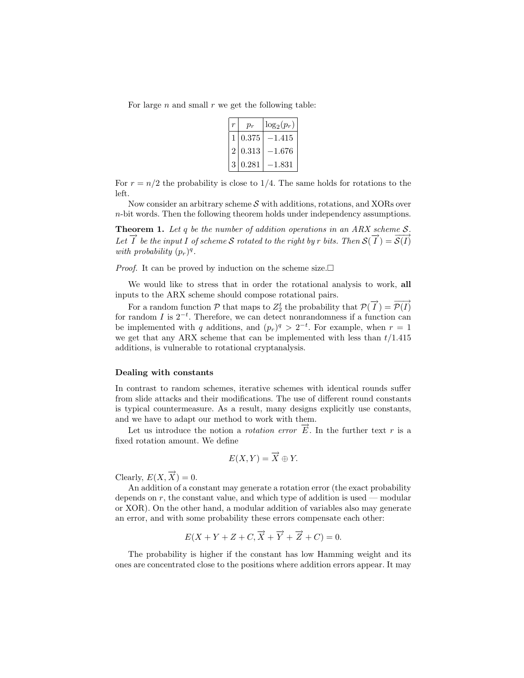For large  $n$  and small  $r$  we get the following table:

|                | $p_r$ | $\log_2(p_r)$ |
|----------------|-------|---------------|
|                | 0.375 | –1.415        |
| $\overline{2}$ | 0.313 | $-1.676$      |
| 3              | 0.281 | –1.831        |

For  $r = n/2$  the probability is close to 1/4. The same holds for rotations to the left.

Now consider an arbitrary scheme  $\mathcal S$  with additions, rotations, and XORs over n-bit words. Then the following theorem holds under independency assumptions.

**Theorem 1.** Let q be the number of addition operations in an ARX scheme  $S$ . Let  $\vec{I}$  be the input I of scheme S rotated to the right by r bits. Then  $S(\vec{I}) = \vec{S(I)}$ with probability  $(p_r)^q$ .

*Proof.* It can be proved by induction on the scheme size.  $\square$ 

We would like to stress that in order the rotational analysis to work, all inputs to the ARX scheme should compose rotational pairs.

For a random function  $P$  that maps to  $Z_2^t$  the probability that  $P(\overrightarrow{I}) = \overrightarrow{P(I)}$ for random I is  $2^{-t}$ . Therefore, we can detect nonrandomness if a function can be implemented with q additions, and  $(p_r)^q > 2^{-t}$ . For example, when  $r = 1$ we get that any ARX scheme that can be implemented with less than  $t/1.415$ additions, is vulnerable to rotational cryptanalysis.

#### Dealing with constants

In contrast to random schemes, iterative schemes with identical rounds suffer from slide attacks and their modifications. The use of different round constants is typical countermeasure. As a result, many designs explicitly use constants, and we have to adapt our method to work with them.

Let us introduce the notion a *rotation error*  $\vec{E}$ . In the further text r is a fixed rotation amount. We define

$$
E(X,Y) = \overrightarrow{X} \oplus Y.
$$

Clearly,  $E(X, \overrightarrow{X}) = 0$ .

An addition of a constant may generate a rotation error (the exact probability depends on  $r$ , the constant value, and which type of addition is used — modular or XOR). On the other hand, a modular addition of variables also may generate an error, and with some probability these errors compensate each other:

$$
E(X+Y+Z+C, \overrightarrow{X}+\overrightarrow{Y}+\overrightarrow{Z}+C)=0.
$$

The probability is higher if the constant has low Hamming weight and its ones are concentrated close to the positions where addition errors appear. It may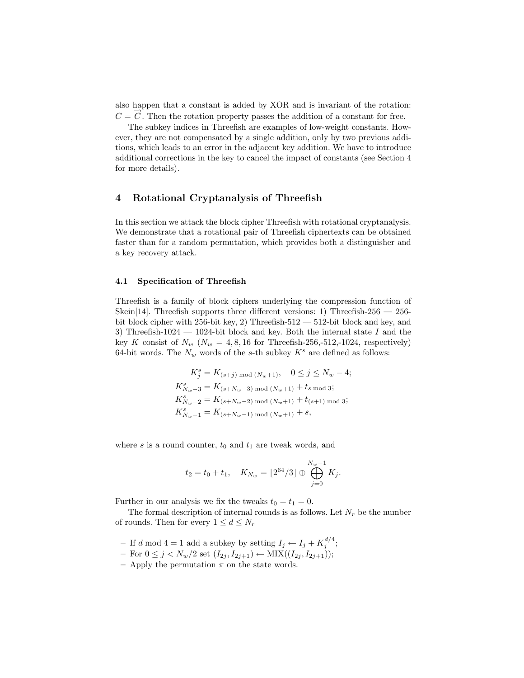also happen that a constant is added by XOR and is invariant of the rotation:  $C = \vec{C}$ . Then the rotation property passes the addition of a constant for free.

The subkey indices in Threefish are examples of low-weight constants. However, they are not compensated by a single addition, only by two previous additions, which leads to an error in the adjacent key addition. We have to introduce additional corrections in the key to cancel the impact of constants (see Section 4 for more details).

### 4 Rotational Cryptanalysis of Threefish

In this section we attack the block cipher Threefish with rotational cryptanalysis. We demonstrate that a rotational pair of Threefish ciphertexts can be obtained faster than for a random permutation, which provides both a distinguisher and a key recovery attack.

#### 4.1 Specification of Threefish

Threefish is a family of block ciphers underlying the compression function of Skein[14]. Threefish supports three different versions: 1) Threefish-256 — 256 bit block cipher with 256-bit key, 2) Threefish-512 — 512-bit block and key, and 3) Threefish-1024 — 1024-bit block and key. Both the internal state  $I$  and the key K consist of  $N_w$  ( $N_w$  = 4, 8, 16 for Threefish-256,-512,-1024, respectively) 64-bit words. The  $N_w$  words of the s-th subkey  $K^s$  are defined as follows:

$$
K_j^s = K_{(s+j) \mod (N_w+1)}, \quad 0 \le j \le N_w - 4;
$$
  
\n
$$
K_{N_w-3}^s = K_{(s+N_w-3) \mod (N_w+1)} + t_s \mod 3;
$$
  
\n
$$
K_{N_w-2}^s = K_{(s+N_w-2) \mod (N_w+1)} + t_{(s+1) \mod 3};
$$
  
\n
$$
K_{N_w-1}^s = K_{(s+N_w-1) \mod (N_w+1)} + s,
$$

where s is a round counter,  $t_0$  and  $t_1$  are tweak words, and

$$
t_2 = t_0 + t_1
$$
,  $K_{N_w} = \lfloor 2^{64} / 3 \rfloor \oplus \bigoplus_{j=0}^{N_w - 1} K_j$ .

Further in our analysis we fix the tweaks  $t_0 = t_1 = 0$ .

The formal description of internal rounds is as follows. Let  $N_r$  be the number of rounds. Then for every  $1 \leq d \leq N_r$ 

- If d mod 4 = 1 add a subkey by setting  $I_j \leftarrow I_j + K_j^{d/4}$ ;
- For  $0 \leq j < N_w/2$  set  $(I_{2j}, I_{2j+1})$  ← MIX $((I_{2j}, I_{2j+1}))$ ;
- Apply the permutation  $\pi$  on the state words.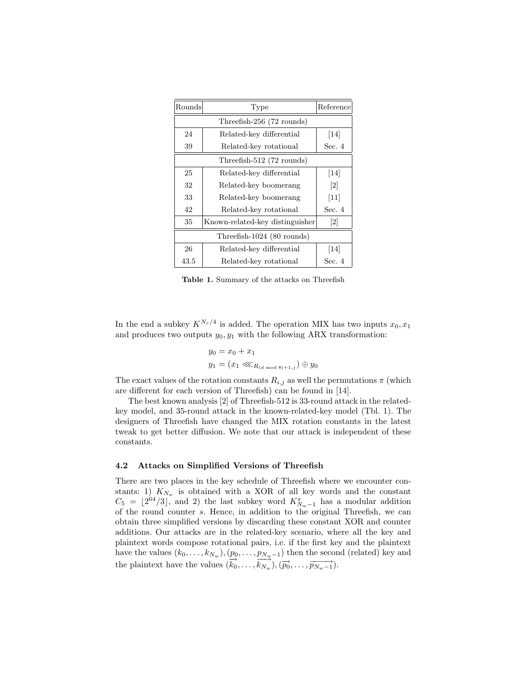| Rounds                     | Type                            | Reference         |  |  |  |  |  |
|----------------------------|---------------------------------|-------------------|--|--|--|--|--|
|                            |                                 |                   |  |  |  |  |  |
| 24                         | Related-key differential        | 14                |  |  |  |  |  |
| 39                         | Related-key rotational          | Sec. 4            |  |  |  |  |  |
|                            | Threefish-512 (72 rounds)       |                   |  |  |  |  |  |
| 25                         | Related-key differential        | 14                |  |  |  |  |  |
| 32                         | Related-key boomerang           | $\lceil 2 \rceil$ |  |  |  |  |  |
| 33                         | Related-key boomerang           | $[11]$            |  |  |  |  |  |
| 42                         | Related-key rotational          | Sec. 4            |  |  |  |  |  |
| 35                         | Known-related-key distinguisher | 2                 |  |  |  |  |  |
| Threefish-1024 (80 rounds) |                                 |                   |  |  |  |  |  |
| 26                         | Related-key differential        | $[14]$            |  |  |  |  |  |
| 43.5                       | Related-key rotational          | Sec. 4            |  |  |  |  |  |

Table 1. Summary of the attacks on Threefish

In the end a subkey  $K^{N_r/4}$  is added. The operation MIX has two inputs  $x_0, x_1$ and produces two outputs  $y_0, y_1$  with the following ARX transformation:

$$
y_0 = x_0 + x_1
$$
  
\n $y_1 = (x_1 \ll x_{R_{(d \mod 8)+1,j}}) \oplus y_0$ 

The exact values of the rotation constants  $R_{i,j}$  as well the permutations  $\pi$  (which are different for each version of Threefish) can be found in [14].

The best known analysis [2] of Threefish-512 is 33-round attack in the relatedkey model, and 35-round attack in the known-related-key model (Tbl. 1). The designers of Threefish have changed the MIX rotation constants in the latest tweak to get better diffusion. We note that our attack is independent of these constants.

### 4.2 Attacks on Simplified Versions of Threefish

There are two places in the key schedule of Threefish where we encounter constants: 1)  $K_{N_w}$  is obtained with a XOR of all key words and the constant  $C_5 = \lfloor 2^{64}/3 \rfloor$ , and 2) the last subkey word  $K_{N_w-1}^s$  has a modular addition of the round counter s. Hence, in addition to the original Threefish, we can obtain three simplified versions by discarding these constant XOR and counter additions. Our attacks are in the related-key scenario, where all the key and plaintext words compose rotational pairs, i.e. if the first key and the plaintext have the values  $(k_0, \ldots, k_{N_w}), (p_0, \ldots, p_{N_w-1})$  then the second (related) key and the plaintext have the values  $(\vec{k_0}, \ldots, \vec{k_{N_w}}), (\vec{p_0}, \ldots, \vec{p_{N_w-1}})$ .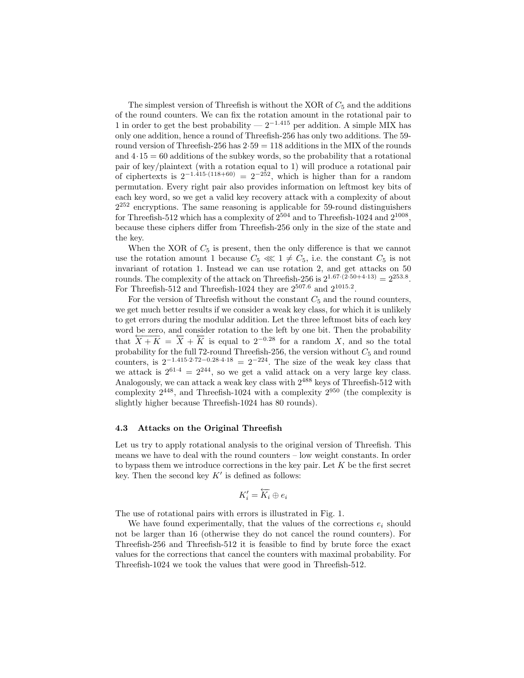The simplest version of Threefish is without the XOR of  $C_5$  and the additions of the round counters. We can fix the rotation amount in the rotational pair to 1 in order to get the best probability —  $2^{-1.415}$  per addition. A simple MIX has only one addition, hence a round of Threefish-256 has only two additions. The 59 round version of Threefish-256 has  $2.59 = 118$  additions in the MIX of the rounds and  $4.15 = 60$  additions of the subkey words, so the probability that a rotational pair of key/plaintext (with a rotation equal to 1) will produce a rotational pair of ciphertexts is  $2^{-1.415 \cdot (118+60)} = 2^{-252}$ , which is higher than for a random permutation. Every right pair also provides information on leftmost key bits of each key word, so we get a valid key recovery attack with a complexity of about  $2^{252}$  encryptions. The same reasoning is applicable for 59-round distinguishers for Threefish-512 which has a complexity of  $2^{504}$  and to Threefish-1024 and  $2^{1008}$ , because these ciphers differ from Threefish-256 only in the size of the state and the key.

When the XOR of  $C_5$  is present, then the only difference is that we cannot use the rotation amount 1 because  $C_5 \lll 1 \neq C_5$ , i.e. the constant  $C_5$  is not invariant of rotation 1. Instead we can use rotation 2, and get attacks on 50 rounds. The complexity of the attack on Threefish-256 is  $2^{1.67 \cdot (2.50 + 4.13)} = 2^{253.8}$ . For Threefish-512 and Threefish-1024 they are  $2^{507.6}$  and  $2^{1015.2}$ .

For the version of Threefish without the constant  $C_5$  and the round counters, we get much better results if we consider a weak key class, for which it is unlikely to get errors during the modular addition. Let the three leftmost bits of each key word be zero, and consider rotation to the left by one bit. Then the probability that  $\overline{X+K} = \overline{X} + \overline{K}$  is equal to  $2^{-0.28}$  for a random X, and so the total probability for the full 72-round Threefish-256, the version without  $C_5$  and round counters, is  $2^{-1.415 \cdot 2.72 - 0.28 \cdot 4.18} = 2^{-224}$ . The size of the weak key class that we attack is  $2^{61.4} = 2^{244}$ , so we get a valid attack on a very large key class. Analogously, we can attack a weak key class with  $2^{488}$  keys of Threefish-512 with complexity  $2^{448}$ , and Threefish-1024 with a complexity  $2^{950}$  (the complexity is slightly higher because Threefish-1024 has 80 rounds).

#### 4.3 Attacks on the Original Threefish

Let us try to apply rotational analysis to the original version of Threefish. This means we have to deal with the round counters – low weight constants. In order to bypass them we introduce corrections in the key pair. Let  $K$  be the first secret key. Then the second key  $K'$  is defined as follows:

$$
K'_i = \overleftarrow{K_i} \oplus e_i
$$

The use of rotational pairs with errors is illustrated in Fig. 1.

We have found experimentally, that the values of the corrections  $e_i$  should not be larger than 16 (otherwise they do not cancel the round counters). For Threefish-256 and Threefish-512 it is feasible to find by brute force the exact values for the corrections that cancel the counters with maximal probability. For Threefish-1024 we took the values that were good in Threefish-512.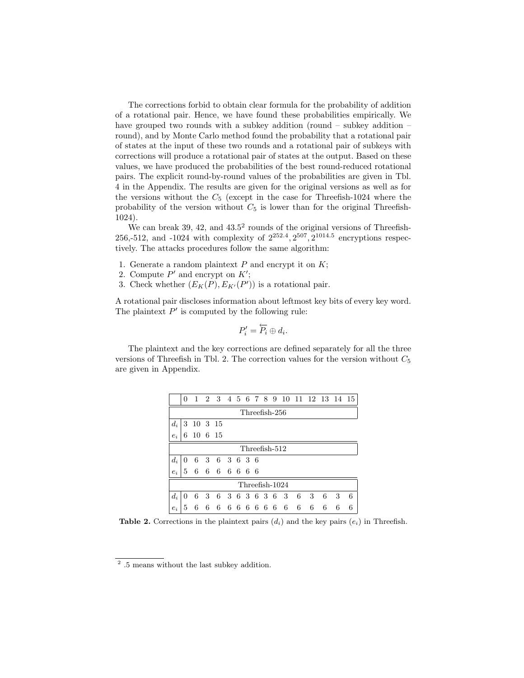The corrections forbid to obtain clear formula for the probability of addition of a rotational pair. Hence, we have found these probabilities empirically. We have grouped two rounds with a subkey addition (round – subkey addition – round), and by Monte Carlo method found the probability that a rotational pair of states at the input of these two rounds and a rotational pair of subkeys with corrections will produce a rotational pair of states at the output. Based on these values, we have produced the probabilities of the best round-reduced rotational pairs. The explicit round-by-round values of the probabilities are given in Tbl. 4 in the Appendix. The results are given for the original versions as well as for the versions without the  $C_5$  (except in the case for Threefish-1024 where the probability of the version without  $C_5$  is lower than for the original Threefish-1024).

We can break 39, 42, and  $43.5^2$  rounds of the original versions of Threefish-256,-512, and -1024 with complexity of  $2^{252.4}, 2^{507}, 2^{1014.5}$  encryptions respectively. The attacks procedures follow the same algorithm:

- 1. Generate a random plaintext  $P$  and encrypt it on  $K$ ;
- 2. Compute  $P'$  and encrypt on  $K'$ ;
- 3. Check whether  $(E_K(P), E_{K'}(P'))$  is a rotational pair.

A rotational pair discloses information about leftmost key bits of every key word. The plaintext  $P'$  is computed by the following rule:

$$
P_i' = \overleftarrow{P_i} \oplus d_i
$$

.

The plaintext and the key corrections are defined separately for all the three versions of Threefish in Tbl. 2. The correction values for the version without  $C_5$ are given in Appendix.

|       | 0              |         |   |             |  |  |  |  |  |  |                 |    | 1 2 3 4 5 6 7 8 9 10 11 12 13 14 15 |   |   |   |
|-------|----------------|---------|---|-------------|--|--|--|--|--|--|-----------------|----|-------------------------------------|---|---|---|
|       | Threefish-256  |         |   |             |  |  |  |  |  |  |                 |    |                                     |   |   |   |
| $d_i$ | 3              | 10 3 15 |   |             |  |  |  |  |  |  |                 |    |                                     |   |   |   |
| $e_i$ | 6              | 10 6 15 |   |             |  |  |  |  |  |  |                 |    |                                     |   |   |   |
|       | Threefish-512  |         |   |             |  |  |  |  |  |  |                 |    |                                     |   |   |   |
| $d_i$ | 0              | 6       |   | 3 6 3 6 3 6 |  |  |  |  |  |  |                 |    |                                     |   |   |   |
| $e_i$ | 5              | 6       | 6 | 66666       |  |  |  |  |  |  |                 |    |                                     |   |   |   |
|       | Threefish-1024 |         |   |             |  |  |  |  |  |  |                 |    |                                     |   |   |   |
| $d_i$ | 0              | 6       | 3 |             |  |  |  |  |  |  | 6 3 6 3 6 3 6 3 | -6 | 3                                   | 6 | 3 | 6 |
| $e_i$ | 5              | 6       | 6 | 6           |  |  |  |  |  |  | 6666666         | -6 | 6                                   | 6 | 6 | 6 |

**Table 2.** Corrections in the plaintext pairs  $(d_i)$  and the key pairs  $(e_i)$  in Threefish.

<sup>&</sup>lt;sup>2</sup> .5 means without the last subkey addition.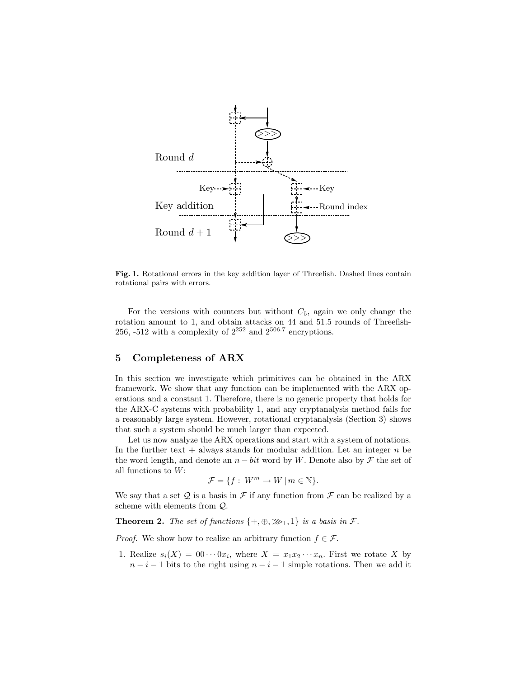

Fig. 1. Rotational errors in the key addition layer of Threefish. Dashed lines contain rotational pairs with errors.

For the versions with counters but without  $C_5$ , again we only change the rotation amount to 1, and obtain attacks on 44 and 51.5 rounds of Threefish-256, -512 with a complexity of  $2^{252}$  and  $2^{506.7}$  encryptions.

### 5 Completeness of ARX

In this section we investigate which primitives can be obtained in the ARX framework. We show that any function can be implemented with the ARX operations and a constant 1. Therefore, there is no generic property that holds for the ARX-C systems with probability 1, and any cryptanalysis method fails for a reasonably large system. However, rotational cryptanalysis (Section 3) shows that such a system should be much larger than expected.

Let us now analyze the ARX operations and start with a system of notations. In the further text  $+$  always stands for modular addition. Let an integer n be the word length, and denote an  $n - bit$  word by W. Denote also by  $\mathcal F$  the set of all functions to  $W$ :

$$
\mathcal{F} = \{ f : W^m \to W \, | \, m \in \mathbb{N} \}.
$$

We say that a set  $Q$  is a basis in  $\mathcal F$  if any function from  $\mathcal F$  can be realized by a scheme with elements from Q.

**Theorem 2.** The set of functions  $\{+,\oplus,\gg_1,1\}$  is a basis in  $\mathcal{F}$ .

*Proof.* We show how to realize an arbitrary function  $f \in \mathcal{F}$ .

1. Realize  $s_i(X) = 00 \cdots 0x_i$ , where  $X = x_1 x_2 \cdots x_n$ . First we rotate X by  $n-i-1$  bits to the right using  $n-i-1$  simple rotations. Then we add it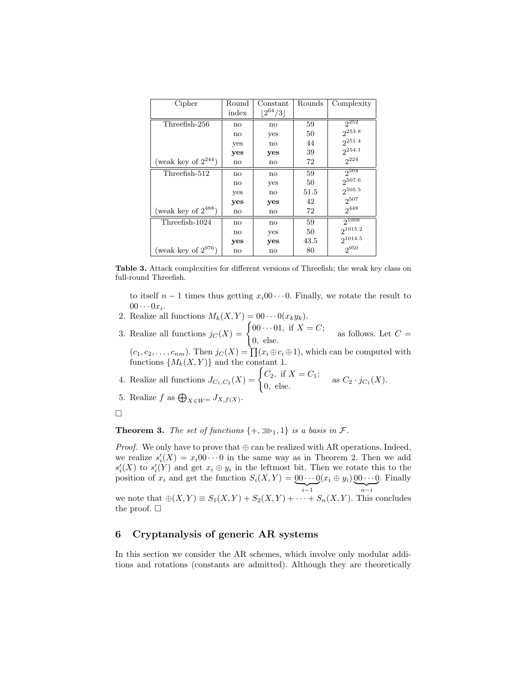| Cipher                   | Round                  | Constant               | Rounds | Complexity   |
|--------------------------|------------------------|------------------------|--------|--------------|
|                          | index                  | $ 2^{64}/3 $           |        |              |
| Threefish-256            | $\mathbf{n}$           | no                     | 59     | $2^{252}$    |
|                          | $\mathbf{n}$           | yes                    | 50     | $2^{253.8}$  |
|                          | yes                    | $\mathbf{n}$           | 44     | $2^{251.4}$  |
|                          | yes                    | yes                    | 39     | $2^{254.1}$  |
| (weak key of $2^{244}$ ) | $\mathbf{n}\mathbf{o}$ | $\mathbf{n}\mathbf{o}$ | 72     | $2^{224}$    |
| Threefish-512            | no                     | no                     | 59     | $2^{504}$    |
|                          | $\mathbf{n}\mathbf{o}$ | yes                    | 50     | 2507.6       |
|                          | yes                    | $\mathbf{n}$           | 51.5   | $2^{505.5}$  |
|                          | yes                    | yes                    | 42     | $2^{507}$    |
| (weak key of $2^{488}$ ) | no                     | no                     | 72     | $2^{448}$    |
| Threefish-1024           | $\mathbf{n}$           | no                     | 59     | $2^{1008}$   |
|                          | $\mathbf{n}\mathbf{o}$ | yes                    | 50     | $2^{1015.2}$ |
|                          | yes                    | yes                    | 43.5   | $2^{1014.5}$ |
| (weak key of $2^{976}$ ) | no                     | $\mathbf{n}\mathbf{o}$ | 80     | $2^{950}$    |

Table 3. Attack complexities for different versions of Threefish; the weak key class on full-round Threefish.

to itself  $n-1$  times thus getting  $x_i00\cdots 0$ . Finally, we rotate the result to  $00\cdots 0x_i.$ 

- 2. Realize all functions  $M_k(X, Y) = 00 \cdots 0(x_k y_k)$ .
- 3. Realize all functions  $j_C(X) = \begin{cases} 0 & 0 & \text{if } X = C; \\ 0 & 1 & \text{if } X = C. \end{cases}$  $\begin{array}{c} 0.66 & 0.1, \text{ if } 2.1 \end{array}$  as follows. Let  $C =$

 $(c_1, c_2, \ldots, c_{nm})$ . Then  $j_C(X) = \prod (x_i \oplus c_i \oplus 1)$ , which can be computed with functions  $\{M_k(X, Y)\}\$  and the constant 1.

4. Realize all functions 
$$
J_{C_1, C_2}(X) = \begin{cases} C_2, & \text{if } X = C_1; \\ 0, & \text{else.} \end{cases}
$$
 as  $C_2 \cdot j_{C_1}(X)$ .

5. Realize  $f$  as  $\bigoplus_{X \in W^m} J_{X,f(X)}$ .

**Theorem 3.** The set of functions  $\{+,\ggg1,1\}$  is a basis in  $\mathcal{F}$ .

*Proof.* We only have to prove that  $oplus$  can be realized with AR operations. Indeed, we realize  $s_i'(X) = x_i 00 \cdots 0$  in the same way as in Theorem 2. Then we add  $s'_{i}(X)$  to  $s'_{i}(Y)$  and get  $x_{i} \oplus y_{i}$  in the leftmost bit. Then we rotate this to the position of  $x_i$  and get the function  $S_i(X, Y) = 0 \cdots 0$  $\sum_{i-1}$  $(x_i \oplus y_i) \hspace{0.05cm} 00 \cdots 0$  $\sum_{n-i}$ . Finally we note that  $\oplus(X,Y) \equiv S_1(X,Y) + S_2(X,Y) + \cdots + S_n(X,Y)$ . This concludes the proof.  $\square$ 

### 6 Cryptanalysis of generic AR systems

In this section we consider the AR schemes, which involve only modular additions and rotations (constants are admitted). Although they are theoretically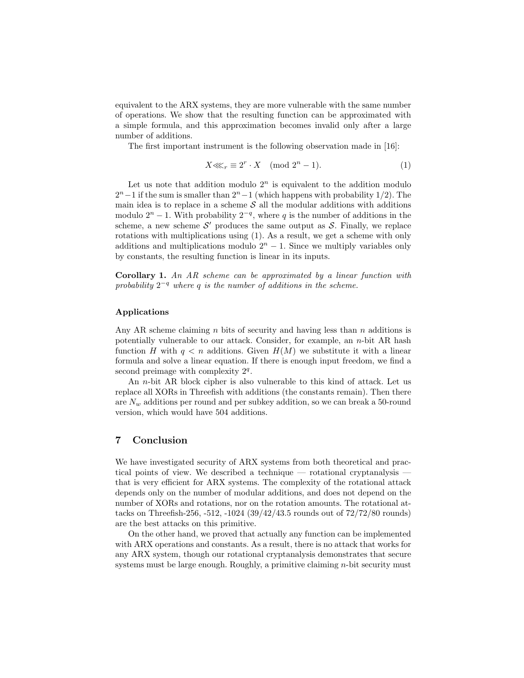equivalent to the ARX systems, they are more vulnerable with the same number of operations. We show that the resulting function can be approximated with a simple formula, and this approximation becomes invalid only after a large number of additions.

The first important instrument is the following observation made in [16]:

$$
X \lll_r \equiv 2^r \cdot X \pmod{2^n - 1}.
$$
 (1)

Let us note that addition modulo  $2<sup>n</sup>$  is equivalent to the addition modulo  $2<sup>n</sup> - 1$  if the sum is smaller than  $2<sup>n</sup> - 1$  (which happens with probability 1/2). The main idea is to replace in a scheme  $\mathcal S$  all the modular additions with additions modulo  $2<sup>n</sup> - 1$ . With probability  $2<sup>-q</sup>$ , where q is the number of additions in the scheme, a new scheme  $\mathcal{S}'$  produces the same output as  $\mathcal{S}$ . Finally, we replace rotations with multiplications using (1). As a result, we get a scheme with only additions and multiplications modulo  $2<sup>n</sup> - 1$ . Since we multiply variables only by constants, the resulting function is linear in its inputs.

Corollary 1. An AR scheme can be approximated by a linear function with probability  $2^{-q}$  where q is the number of additions in the scheme.

#### Applications

Any AR scheme claiming  $n$  bits of security and having less than  $n$  additions is potentially vulnerable to our attack. Consider, for example, an n-bit AR hash function H with  $q < n$  additions. Given  $H(M)$  we substitute it with a linear formula and solve a linear equation. If there is enough input freedom, we find a second preimage with complexity  $2<sup>q</sup>$ .

An n-bit AR block cipher is also vulnerable to this kind of attack. Let us replace all XORs in Threefish with additions (the constants remain). Then there are  $N_w$  additions per round and per subkey addition, so we can break a 50-round version, which would have 504 additions.

### 7 Conclusion

We have investigated security of ARX systems from both theoretical and practical points of view. We described a technique — rotational cryptanalysis that is very efficient for ARX systems. The complexity of the rotational attack depends only on the number of modular additions, and does not depend on the number of XORs and rotations, nor on the rotation amounts. The rotational attacks on Threefish-256, -512, -1024 (39/42/43.5 rounds out of 72/72/80 rounds) are the best attacks on this primitive.

On the other hand, we proved that actually any function can be implemented with ARX operations and constants. As a result, there is no attack that works for any ARX system, though our rotational cryptanalysis demonstrates that secure systems must be large enough. Roughly, a primitive claiming *n*-bit security must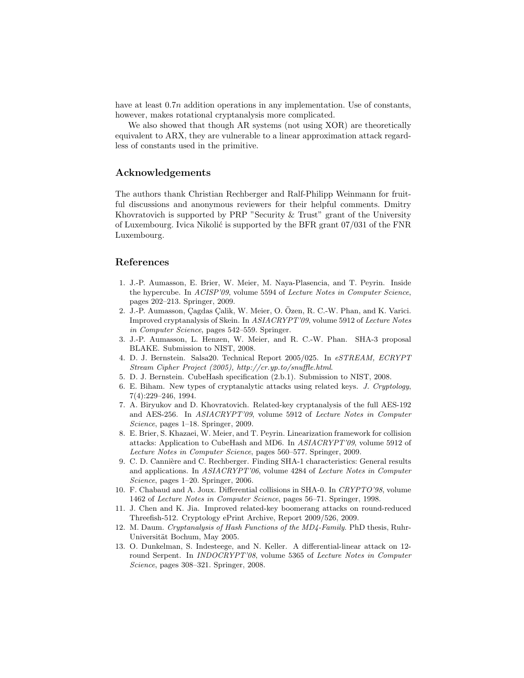have at least  $0.7n$  addition operations in any implementation. Use of constants, however, makes rotational cryptanalysis more complicated.

We also showed that though AR systems (not using XOR) are theoretically equivalent to ARX, they are vulnerable to a linear approximation attack regardless of constants used in the primitive.

### Acknowledgements

The authors thank Christian Rechberger and Ralf-Philipp Weinmann for fruitful discussions and anonymous reviewers for their helpful comments. Dmitry Khovratovich is supported by PRP "Security & Trust" grant of the University of Luxembourg. Ivica Nikolić is supported by the BFR grant  $07/031$  of the FNR Luxembourg.

### References

- 1. J.-P. Aumasson, E. Brier, W. Meier, M. Naya-Plasencia, and T. Peyrin. Inside the hypercube. In ACISP'09, volume 5594 of Lecture Notes in Computer Science, pages 202–213. Springer, 2009.
- 2. J.-P. Aumasson, Çagdas Çalik, W. Meier, O. Özen, R. C.-W. Phan, and K. Varici. Improved cryptanalysis of Skein. In ASIACRYPT'09, volume 5912 of Lecture Notes in Computer Science, pages 542–559. Springer.
- 3. J.-P. Aumasson, L. Henzen, W. Meier, and R. C.-W. Phan. SHA-3 proposal BLAKE. Submission to NIST, 2008.
- 4. D. J. Bernstein. Salsa20. Technical Report 2005/025. In eSTREAM, ECRYPT Stream Cipher Project (2005), http://cr.yp.to/snuffle.html.
- 5. D. J. Bernstein. CubeHash specification (2.b.1). Submission to NIST, 2008.
- 6. E. Biham. New types of cryptanalytic attacks using related keys. J. Cryptology, 7(4):229–246, 1994.
- 7. A. Biryukov and D. Khovratovich. Related-key cryptanalysis of the full AES-192 and AES-256. In ASIACRYPT'09, volume 5912 of Lecture Notes in Computer Science, pages 1–18. Springer, 2009.
- 8. E. Brier, S. Khazaei, W. Meier, and T. Peyrin. Linearization framework for collision attacks: Application to CubeHash and MD6. In ASIACRYPT'09, volume 5912 of Lecture Notes in Computer Science, pages 560–577. Springer, 2009.
- 9. C. D. Cannière and C. Rechberger. Finding SHA-1 characteristics: General results and applications. In ASIACRYPT'06, volume 4284 of Lecture Notes in Computer Science, pages 1–20. Springer, 2006.
- 10. F. Chabaud and A. Joux. Differential collisions in SHA-0. In CRYPTO'98, volume 1462 of Lecture Notes in Computer Science, pages 56–71. Springer, 1998.
- 11. J. Chen and K. Jia. Improved related-key boomerang attacks on round-reduced Threefish-512. Cryptology ePrint Archive, Report 2009/526, 2009.
- 12. M. Daum. Cryptanalysis of Hash Functions of the MD4-Family. PhD thesis, Ruhr-Universität Bochum, May 2005.
- 13. O. Dunkelman, S. Indesteege, and N. Keller. A differential-linear attack on 12 round Serpent. In INDOCRYPT'08, volume 5365 of Lecture Notes in Computer Science, pages 308–321. Springer, 2008.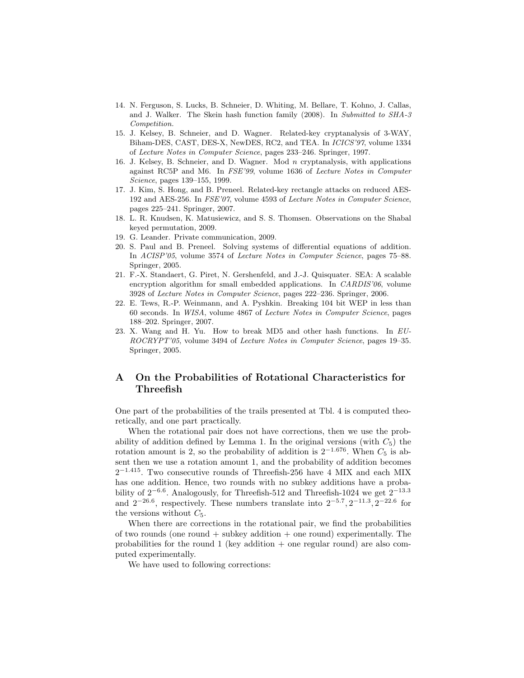- 14. N. Ferguson, S. Lucks, B. Schneier, D. Whiting, M. Bellare, T. Kohno, J. Callas, and J. Walker. The Skein hash function family (2008). In Submitted to SHA-3 Competition.
- 15. J. Kelsey, B. Schneier, and D. Wagner. Related-key cryptanalysis of 3-WAY, Biham-DES, CAST, DES-X, NewDES, RC2, and TEA. In ICICS'97, volume 1334 of Lecture Notes in Computer Science, pages 233–246. Springer, 1997.
- 16. J. Kelsey, B. Schneier, and D. Wagner. Mod n cryptanalysis, with applications against RC5P and M6. In FSE'99, volume 1636 of Lecture Notes in Computer Science, pages 139–155, 1999.
- 17. J. Kim, S. Hong, and B. Preneel. Related-key rectangle attacks on reduced AES-192 and AES-256. In FSE'07, volume 4593 of Lecture Notes in Computer Science, pages 225–241. Springer, 2007.
- 18. L. R. Knudsen, K. Matusiewicz, and S. S. Thomsen. Observations on the Shabal keyed permutation, 2009.
- 19. G. Leander. Private communication, 2009.
- 20. S. Paul and B. Preneel. Solving systems of differential equations of addition. In ACISP'05, volume 3574 of Lecture Notes in Computer Science, pages 75–88. Springer, 2005.
- 21. F.-X. Standaert, G. Piret, N. Gershenfeld, and J.-J. Quisquater. SEA: A scalable encryption algorithm for small embedded applications. In CARDIS'06, volume 3928 of Lecture Notes in Computer Science, pages 222–236. Springer, 2006.
- 22. E. Tews, R.-P. Weinmann, and A. Pyshkin. Breaking 104 bit WEP in less than 60 seconds. In WISA, volume 4867 of Lecture Notes in Computer Science, pages 188–202. Springer, 2007.
- 23. X. Wang and H. Yu. How to break MD5 and other hash functions. In EU-ROCRYPT'05, volume 3494 of Lecture Notes in Computer Science, pages 19–35. Springer, 2005.

## A On the Probabilities of Rotational Characteristics for Threefish

One part of the probabilities of the trails presented at Tbl. 4 is computed theoretically, and one part practically.

When the rotational pair does not have corrections, then we use the probability of addition defined by Lemma 1. In the original versions (with  $C_5$ ) the rotation amount is 2, so the probability of addition is  $2^{-1.676}$ . When  $C_5$  is absent then we use a rotation amount 1, and the probability of addition becomes 2 <sup>−</sup>1.<sup>415</sup>. Two consecutive rounds of Threefish-256 have 4 MIX and each MIX has one addition. Hence, two rounds with no subkey additions have a probability of  $2^{-6.6}$ . Analogously, for Threefish-512 and Threefish-1024 we get  $2^{-13.3}$ and  $2^{-26.6}$ , respectively. These numbers translate into  $2^{-5.7}$ ,  $2^{-11.3}$ ,  $2^{-22.6}$  for the versions without  $C_5$ .

When there are corrections in the rotational pair, we find the probabilities of two rounds (one round  $+$  subkey addition  $+$  one round) experimentally. The probabilities for the round 1 (key addition  $+$  one regular round) are also computed experimentally.

We have used to following corrections: